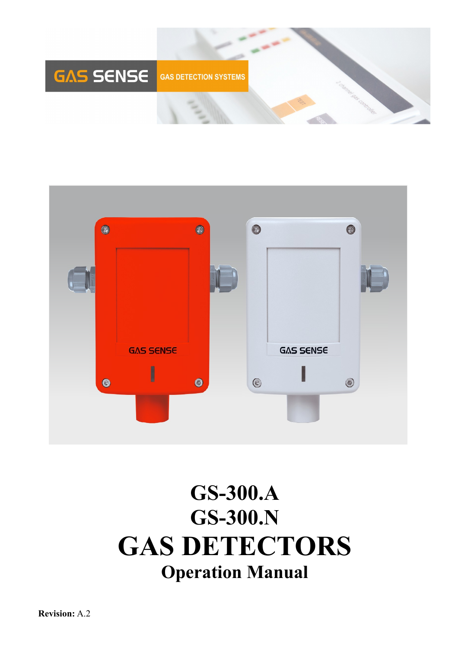



# **GS-300.A GS-300.N GAS DETECTORS Operation Manual**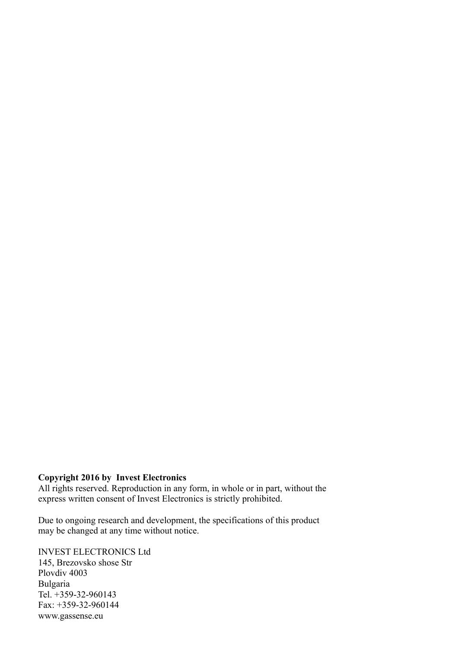#### **Copyright 2016 by Invest Electronics**

All rights reserved. Reproduction in any form, in whole or in part, without the express written consent of Invest Electronics is strictly prohibited.

Due to ongoing research and development, the specifications of this product may be changed at any time without notice.

INVEST ELECTRONICS Ltd 145, Brezovsko shose Str Plovdiv 4003 Bulgaria Tel. +359-32-960143 Fax: +359-32-960144 www.gassense.eu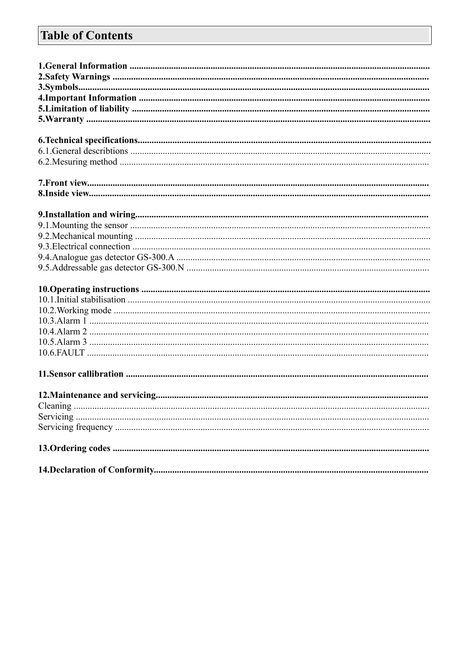# **Table of Contents**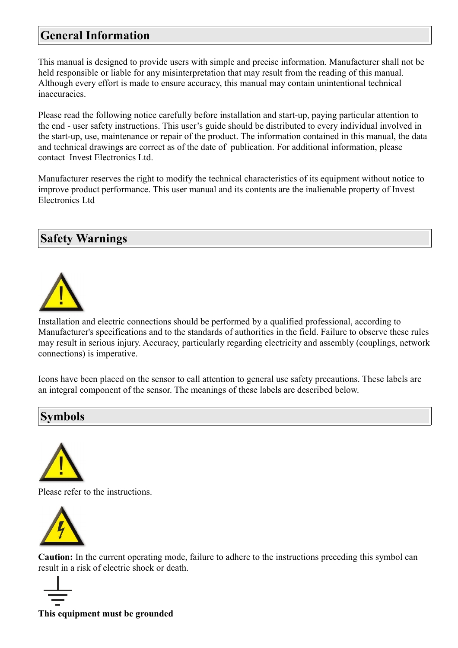# **General Information**

This manual is designed to provide users with simple and precise information. Manufacturer shall not be held responsible or liable for any misinterpretation that may result from the reading of this manual. Although every effort is made to ensure accuracy, this manual may contain unintentional technical inaccuracies.

Please read the following notice carefully before installation and start-up, paying particular attention to the end - user safety instructions. This user's guide should be distributed to every individual involved in the start-up, use, maintenance or repair of the product. The information contained in this manual, the data and technical drawings are correct as of the date of publication. For additional information, please contact Invest Electronics Ltd.

Manufacturer reserves the right to modify the technical characteristics of its equipment without notice to improve product performance. This user manual and its contents are the inalienable property of Invest Electronics Ltd

# **Safety Warnings**



Installation and electric connections should be performed by a qualified professional, according to Manufacturer's specifications and to the standards of authorities in the field. Failure to observe these rules may result in serious injury. Accuracy, particularly regarding electricity and assembly (couplings, network connections) is imperative.

Icons have been placed on the sensor to call attention to general use safety precautions. These labels are an integral component of the sensor. The meanings of these labels are described below.

## **Symbols**



Please refer to the instructions.



**Caution:** In the current operating mode, failure to adhere to the instructions preceding this symbol can result in a risk of electric shock or death.



**This equipment must be grounded**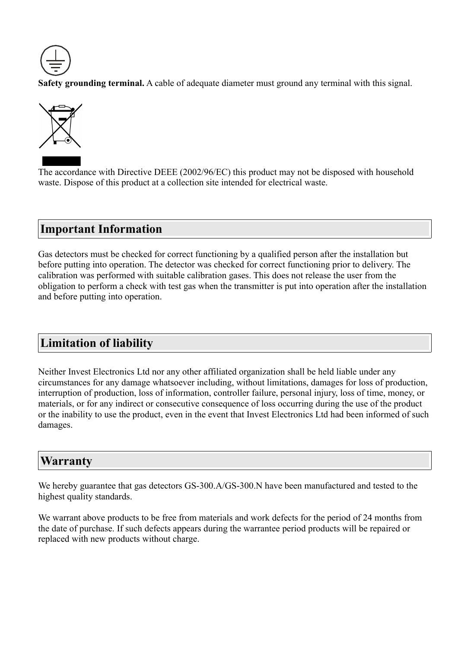

**Safety grounding terminal.** A cable of adequate diameter must ground any terminal with this signal.



The accordance with Directive DEEE (2002/96/EC) this product may not be disposed with household waste. Dispose of this product at a collection site intended for electrical waste.

## **Important Information**

Gas detectors must be checked for correct functioning by a qualified person after the installation but before putting into operation. The detector was checked for correct functioning prior to delivery. The calibration was performed with suitable calibration gases. This does not release the user from the obligation to perform a check with test gas when the transmitter is put into operation after the installation and before putting into operation.

# **Limitation of liability**

Neither Invest Electronics Ltd nor any other affiliated organization shall be held liable under any circumstances for any damage whatsoever including, without limitations, damages for loss of production, interruption of production, loss of information, controller failure, personal injury, loss of time, money, or materials, or for any indirect or consecutive consequence of loss occurring during the use of the product or the inability to use the product, even in the event that Invest Electronics Ltd had been informed of such damages.

## **Warranty**

We hereby guarantee that gas detectors GS-300.A/GS-300.N have been manufactured and tested to the highest quality standards.

We warrant above products to be free from materials and work defects for the period of 24 months from the date of purchase. If such defects appears during the warrantee period products will be repaired or replaced with new products without charge.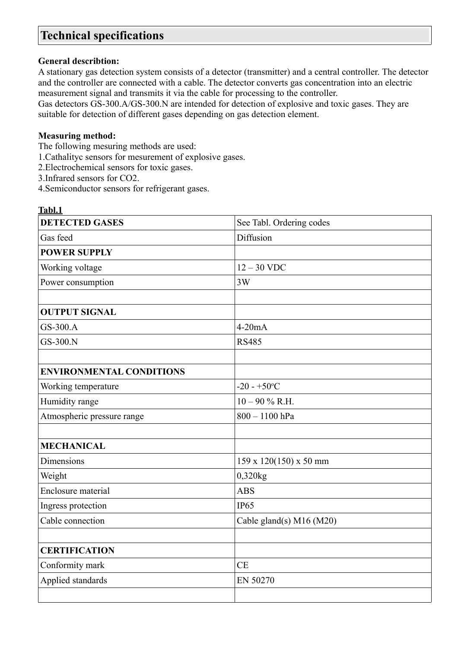# **Technical specifications**

#### **General describtion:**

A stationary gas detection system consists of a detector (transmitter) and a central controller. The detector and the controller are connected with a cable. The detector converts gas concentration into an electric measurement signal and transmits it via the cable for processing to the controller.

Gas detectors GS-300.A/GS-300.N are intended for detection of explosive and toxic gases. They are suitable for detection of different gases depending on gas detection element.

#### **Measuring method:**

The following mesuring methods are used:

1.Cathalityc sensors for mesurement of explosive gases.

2.Electrochemical sensors for toxic gases.

3.Infrared sensors for CO2.

4.Semiconductor sensors for refrigerant gases.

| Tabl.1                          |                                    |
|---------------------------------|------------------------------------|
| <b>DETECTED GASES</b>           | See Tabl. Ordering codes           |
| Gas feed                        | Diffusion                          |
| <b>POWER SUPPLY</b>             |                                    |
| Working voltage                 | $12 - 30$ VDC                      |
| Power consumption               | 3W                                 |
|                                 |                                    |
| <b>OUTPUT SIGNAL</b>            |                                    |
| GS-300.A                        | $4-20mA$                           |
| GS-300.N                        | <b>RS485</b>                       |
|                                 |                                    |
| <b>ENVIRONMENTAL CONDITIONS</b> |                                    |
| Working temperature             | $-20 - +50$ °C                     |
| Humidity range                  | $10 - 90 \% R.H.$                  |
| Atmospheric pressure range      | 800 - 1100 hPa                     |
|                                 |                                    |
| <b>MECHANICAL</b>               |                                    |
| <b>Dimensions</b>               | $159 \times 120(150) \times 50$ mm |
| Weight                          | 0,320kg                            |
| Enclosure material              | <b>ABS</b>                         |
| Ingress protection              | <b>IP65</b>                        |
| Cable connection                | Cable gland(s) M16 (M20)           |
|                                 |                                    |
| <b>CERTIFICATION</b>            |                                    |
| Conformity mark                 | <b>CE</b>                          |
| Applied standards               | EN 50270                           |
|                                 |                                    |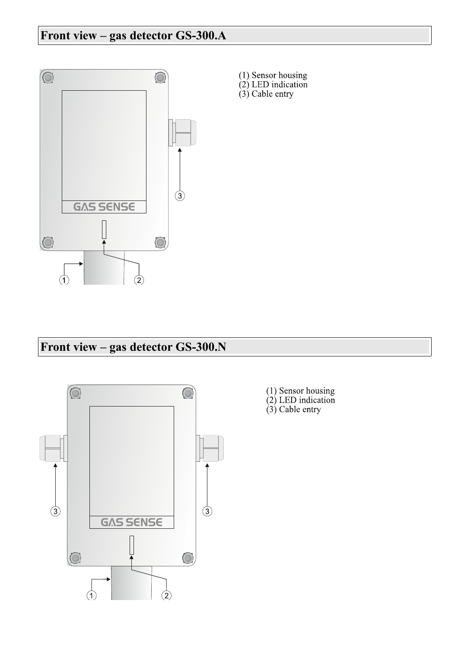# **Front view – gas detector GS-300.A**



(1) Sensor housing<br>(2) LED indication<br>(3) Cable entry

# **Front view – gas detector GS-300.N**



- (1) Sensor housing<br>(2) LED indication<br>(3) Cable entry
-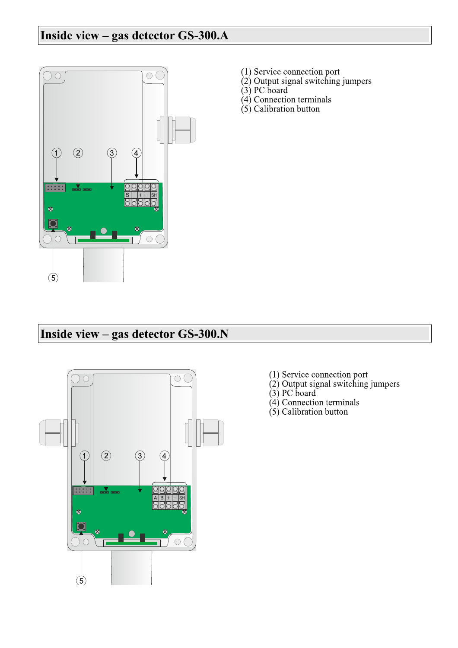# **Inside view – gas detector GS-300.A**



- 
- (1) Service connection port<br>(2) Output signal switching jumpers
- 
- $(3)$  PC board<br> $(4)$  Connection terminals
- $(5)$  Calibration button

# **Inside view – gas detector GS-300.N**



- 
- (1) Service connection port<br>(2) Output signal switching jumpers<br>(3) PC board<br>(4) Connection terminals<br>(5) Calibration button
- 
- 
-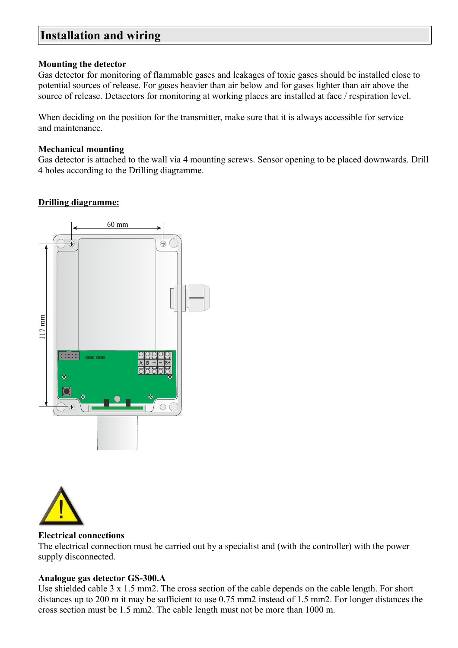### **Installation and wiring**

#### **Mounting the detector**

Gas detector for monitoring of flammable gases and leakages of toxic gases should be installed close to potential sources of release. For gases heavier than air below and for gases lighter than air above the source of release. Detaectors for monitoring at working places are installed at face / respiration level.

When deciding on the position for the transmitter, make sure that it is always accessible for service and maintenance.

#### **Mechanical mounting**

Gas detector is attached to the wall via 4 mounting screws. Sensor opening to be placed downwards. Drill 4 holes according to the Drilling diagramme.

#### **Drilling diagramme:**





#### **Electrical connections**

The electrical connection must be carried out by a specialist and (with the controller) with the power supply disconnected.

#### **Analogue gas detector GS-300.A**

Use shielded cable 3 x 1.5 mm2. The cross section of the cable depends on the cable length. For short distances up to 200 m it may be sufficient to use 0.75 mm2 instead of 1.5 mm2. For longer distances the cross section must be 1.5 mm2. The cable length must not be more than 1000 m.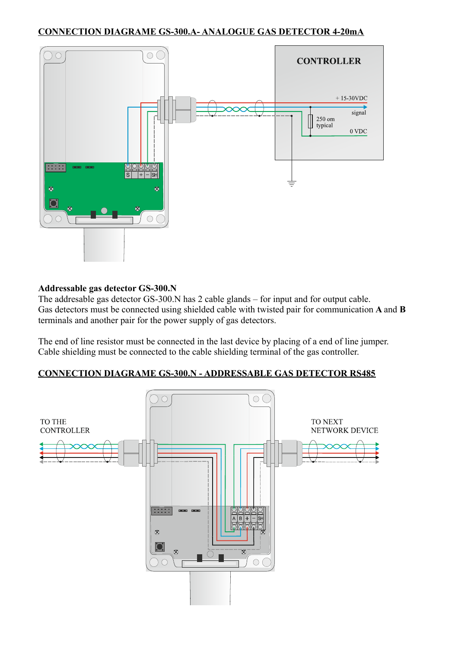

#### **Addressable gas detector GS-300.N**

The addresable gas detector GS-300.N has 2 cable glands – for input and for output cable. Gas detectors must be connected using shielded cable with twisted pair for communication **A** and **B** terminals and another pair for the power supply of gas detectors.

The end of line resistor must be connected in the last device by placing of a end of line jumper. Cable shielding must be connected to the cable shielding terminal of the gas controller.

#### **CONNECTION DIAGRAME GS-300.N - ADDRESSABLE GAS DETECTOR RS485**

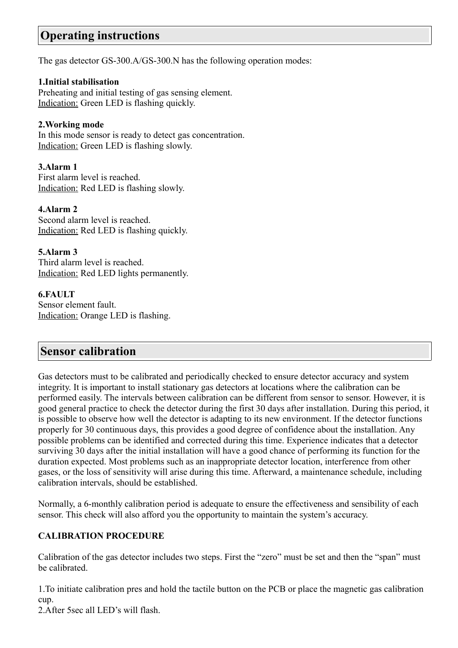# **Operating instructions**

The gas detector GS-300.A/GS-300.N has the following operation modes:

#### **1.Initial stabilisation**

Preheating and initial testing of gas sensing element. Indication: Green LED is flashing quickly.

#### **2.Working mode**

In this mode sensor is ready to detect gas concentration. Indication: Green LED is flashing slowly.

#### **3.Alarm 1**

First alarm level is reached. Indication: Red LED is flashing slowly.

#### **4.Alarm 2**

Second alarm level is reached. Indication: Red LED is flashing quickly.

**5.Alarm 3** Third alarm level is reached. Indication: Red LED lights permanently.

#### **6.FAULT**

Sensor element fault. Indication: Orange LED is flashing.

### **Sensor calibration**

Gas detectors must to be calibrated and periodically checked to ensure detector accuracy and system integrity. It is important to install stationary gas detectors at locations where the calibration can be performed easily. The intervals between calibration can be different from sensor to sensor. However, it is good general practice to check the detector during the first 30 days after installation. During this period, it is possible to observe how well the detector is adapting to its new environment. If the detector functions properly for 30 continuous days, this provides a good degree of confidence about the installation. Any possible problems can be identified and corrected during this time. Experience indicates that a detector surviving 30 days after the initial installation will have a good chance of performing its function for the duration expected. Most problems such as an inappropriate detector location, interference from other gases, or the loss of sensitivity will arise during this time. Afterward, a maintenance schedule, including calibration intervals, should be established.

Normally, a 6-monthly calibration period is adequate to ensure the effectiveness and sensibility of each sensor. This check will also afford you the opportunity to maintain the system's accuracy.

#### **CALIBRATION PROCEDURE**

Calibration of the gas detector includes two steps. First the "zero" must be set and then the "span" must be calibrated.

1.To initiate calibration pres and hold the tactile button on the PCB or place the magnetic gas calibration cup.

2.After 5sec all LED's will flash.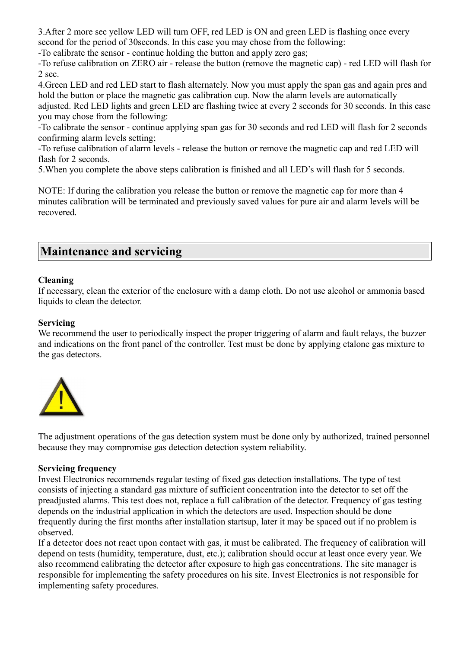3.After 2 more sec yellow LED will turn OFF, red LED is ON and green LED is flashing once every second for the period of 30seconds. In this case you may chose from the following:

-To calibrate the sensor - continue holding the button and apply zero gas;

-To refuse calibration on ZERO air - release the button (remove the magnetic cap) - red LED will flash for 2 sec.

4.Green LED and red LED start to flash alternately. Now you must apply the span gas and again pres and hold the button or place the magnetic gas calibration cup. Now the alarm levels are automatically

adjusted. Red LED lights and green LED are flashing twice at every 2 seconds for 30 seconds. In this case you may chose from the following:

-To calibrate the sensor - continue applying span gas for 30 seconds and red LED will flash for 2 seconds confirming alarm levels setting;

-To refuse calibration of alarm levels - release the button or remove the magnetic cap and red LED will flash for 2 seconds.

5.When you complete the above steps calibration is finished and all LED's will flash for 5 seconds.

NOTE: If during the calibration you release the button or remove the magnetic cap for more than 4 minutes calibration will be terminated and previously saved values for pure air and alarm levels will be recovered.

## **Maintenance and servicing**

#### **Cleaning**

If necessary, clean the exterior of the enclosure with a damp cloth. Do not use alcohol or ammonia based liquids to clean the detector.

#### **Servicing**

We recommend the user to periodically inspect the proper triggering of alarm and fault relays, the buzzer and indications on the front panel of the controller. Test must be done by applying etalone gas mixture to the gas detectors.



The adjustment operations of the gas detection system must be done only by authorized, trained personnel because they may compromise gas detection detection system reliability.

#### **Servicing frequency**

Invest Electronics recommends regular testing of fixed gas detection installations. The type of test consists of injecting a standard gas mixture of sufficient concentration into the detector to set off the preadjusted alarms. This test does not, replace a full calibration of the detector. Frequency of gas testing depends on the industrial application in which the detectors are used. Inspection should be done frequently during the first months after installation startsup, later it may be spaced out if no problem is observed.

If a detector does not react upon contact with gas, it must be calibrated. The frequency of calibration will depend on tests (humidity, temperature, dust, etc.); calibration should occur at least once every year. We also recommend calibrating the detector after exposure to high gas concentrations. The site manager is responsible for implementing the safety procedures on his site. Invest Electronics is not responsible for implementing safety procedures.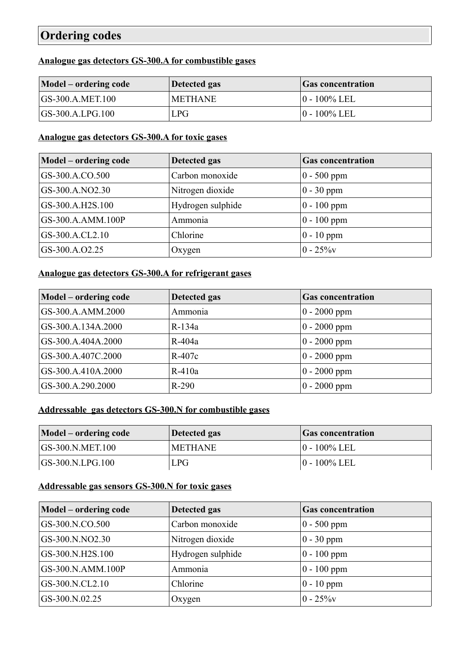# **Ordering codes**

#### **Analogue gas detectors GS- 300.A for combustible gases**

| Model – ordering code | Detected gas   | <b>Gas concentration</b> |
|-----------------------|----------------|--------------------------|
| $ GS-300.A.MET.100$   | <b>METHANE</b> | $ 0 - 100\%$ LEL         |
| $ GS-300.A.LPG.100$   | LPG            | $ 0 - 100\%$ LEL         |

#### **Analogue gas detectors GS- 300.A for toxic gases**

| Model – ordering code | Detected gas      | <b>Gas concentration</b> |
|-----------------------|-------------------|--------------------------|
| GS-300.A.CO.500       | Carbon monoxide   | $ 0 - 500$ ppm           |
| GS-300.A.NO2.30       | Nitrogen dioxide  | $0 - 30$ ppm             |
| GS-300.A.H2S.100      | Hydrogen sulphide | $ 0 - 100$ ppm           |
| GS-300.A.AMM.100P     | Ammonia           | $ 0 - 100$ ppm           |
| GS-300.A.CL2.10       | Chlorine          | $0 - 10$ ppm             |
| GS-300.A.O2.25        | Oxygen            | $ 0 - 25\%$ v            |

# **Analogue gas detectors GS- 300.A for refrigerant gases**

| Model – ordering code | Detected gas | <b>Gas concentration</b> |
|-----------------------|--------------|--------------------------|
| GS-300.A.AMM.2000     | Ammonia      | $0 - 2000$ ppm           |
| GS-300.A.134A.2000    | $R-134a$     | $0 - 2000$ ppm           |
| GS-300.A.404A.2000    | $R-404a$     | $0 - 2000$ ppm           |
| GS-300.A.407C.2000    | $R-407c$     | $ 0 - 2000$ ppm          |
| GS-300.A.410A.2000    | $R-410a$     | $0 - 2000$ ppm           |
| GS-300.A.290.2000     | $R-290$      | $0 - 2000$ ppm           |

### **Addressable gas detectors GS- 300.N for combustible gases**

| Model – ordering code | Detected gas   | <b>Gas concentration</b> |
|-----------------------|----------------|--------------------------|
| $ GS-300.N.MET.100$   | <b>METHANE</b> | $ 0 - 100\%$ LEL         |
| $ GS-300.N.LPG.100$   | <b>LPG</b>     | $ 0 - 100\%$ LEL         |

### **Addressable gas sensors GS- 300.N for toxic gases**

| Model – ordering code | Detected gas      | <b>Gas concentration</b> |
|-----------------------|-------------------|--------------------------|
| GS-300.N.CO.500       | Carbon monoxide   | $0 - 500$ ppm            |
| GS-300.N.NO2.30       | Nitrogen dioxide  | $0 - 30$ ppm             |
| GS-300.N.H2S.100      | Hydrogen sulphide | $0 - 100$ ppm            |
| GS-300.N.AMM.100P     | Ammonia           | $ 0 - 100$ ppm           |
| GS-300.N.CL2.10       | Chlorine          | $0 - 10$ ppm             |
| GS-300.N.02.25        | Oxygen            | $0 - 25\%$               |